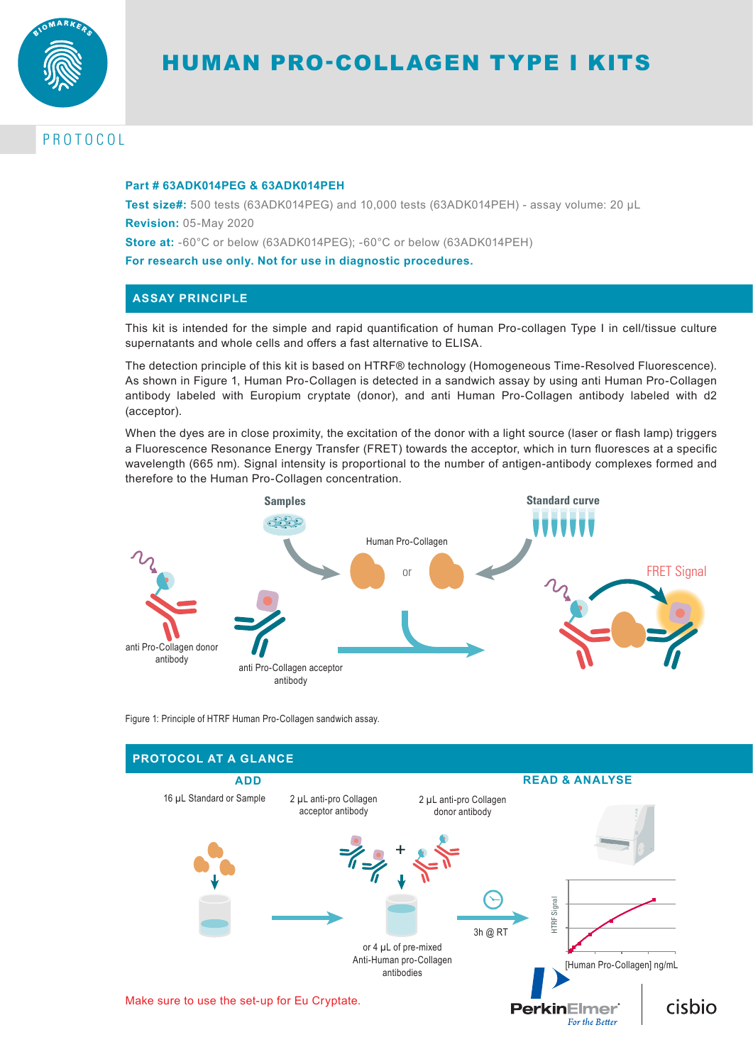

# PROTOCOL

#### **Part # 63ADK014PEG & 63ADK014PEH**

**Test size#:** 500 tests (63ADK014PEG) and 10,000 tests (63ADK014PEH) - assay volume: 20 µL **Revision:** 05-May 2020

**Store at:** -60°C or below (63ADK014PEG); -60°C or below (63ADK014PEH)

**For research use only. Not for use in diagnostic procedures.**

## **ASSAY PRINCIPLE**

This kit is intended for the simple and rapid quantification of human Pro-collagen Type I in cell/tissue culture supernatants and whole cells and offers a fast alternative to ELISA.

The detection principle of this kit is based on HTRF® technology (Homogeneous Time-Resolved Fluorescence). As shown in Figure 1, Human Pro-Collagen is detected in a sandwich assay by using anti Human Pro-Collagen antibody labeled with Europium cryptate (donor), and anti Human Pro-Collagen antibody labeled with d2 (acceptor).

When the dyes are in close proximity, the excitation of the donor with a light source (laser or flash lamp) triggers a Fluorescence Resonance Energy Transfer (FRET) towards the acceptor, which in turn fluoresces at a specific wavelength (665 nm). Signal intensity is proportional to the number of antigen-antibody complexes formed and therefore to the Human Pro-Collagen concentration.



Figure 1: Principle of HTRF Human Pro-Collagen sandwich assay.

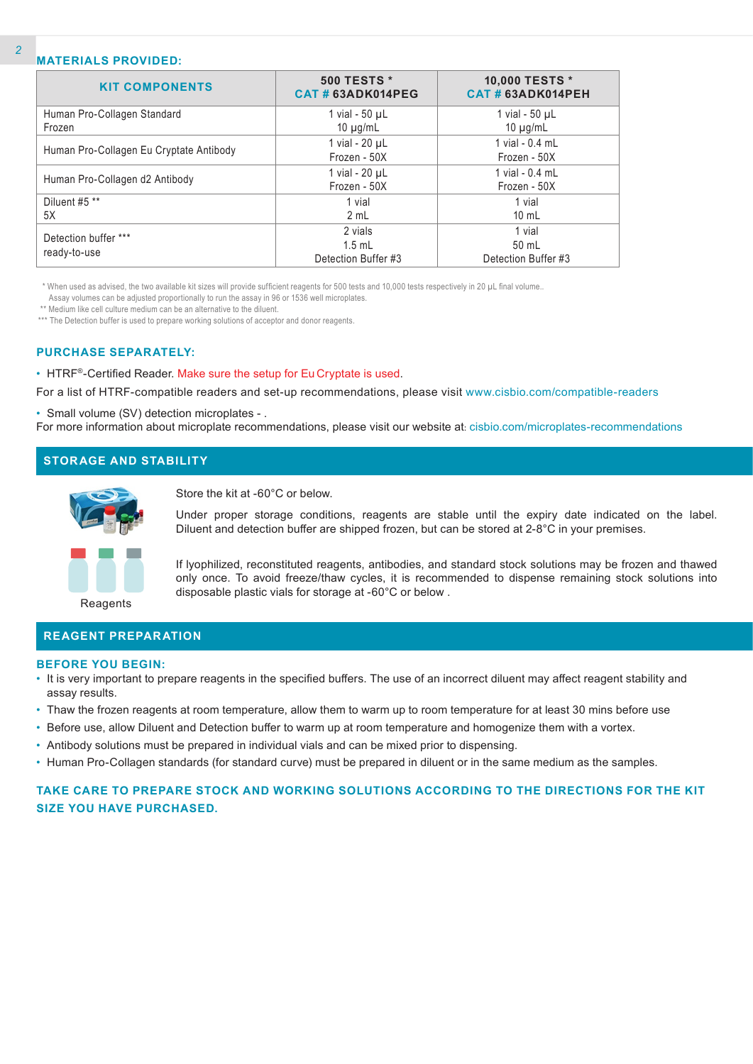### **MATERIALS PROVIDED:**

| <b>KIT COMPONENTS</b>                   | <b>500 TESTS *</b><br>CAT#63ADK014PEG      | 10,000 TESTS *<br>CAT#63ADK014PEH      |
|-----------------------------------------|--------------------------------------------|----------------------------------------|
| Human Pro-Collagen Standard<br>Frozen   | 1 vial - $50 \mu L$<br>10 $\mu$ g/mL       | 1 vial - $50 \mu L$<br>10 $\mu$ g/mL   |
| Human Pro-Collagen Eu Cryptate Antibody | 1 vial - 20 µL<br>Frozen - 50X             | 1 vial - 0.4 mL<br>Frozen - 50X        |
| Human Pro-Collagen d2 Antibody          | 1 vial - 20 µL<br>Frozen - 50X             | 1 vial - 0.4 mL<br>Frozen - 50X        |
| Diluent #5 **<br>5X                     | 1 vial<br>2 mL                             | 1 vial<br>$10 \text{ mL}$              |
| Detection buffer ***<br>ready-to-use    | 2 vials<br>$1.5$ mL<br>Detection Buffer #3 | 1 vial<br>50 mL<br>Detection Buffer #3 |

\* When used as advised, the two available kit sizes will provide sufficient reagents for 500 tests and 10,000 tests respectively in 20 µL final volume..

Assay volumes can be adjusted proportionally to run the assay in 96 or 1536 well microplates.

\*\* Medium like cell culture medium can be an alternative to the diluent.

\*\*\* The Detection buffer is used to prepare working solutions of acceptor and donor reagents.

#### **PURCHASE SEPARATELY:**

• HTRF®-Certified Reader. Make sure the setup for Eu Cryptate is used.

For a list of HTRF-compatible readers and set-up recommendations, please visit www.cisbio.com/compatible-readers

• Small volume (SV) detection microplates - .

For more information about microplate recommendations, please visit our website at: cisbio.com/microplates-recommendations

## **STORAGE AND STABILITY**

Store the kit at -60°C or below.

Under proper storage conditions, reagents are stable until the expiry date indicated on the label. Diluent and detection buffer are shipped frozen, but can be stored at 2-8°C in your premises.

If lyophilized, reconstituted reagents, antibodies, and standard stock solutions may be frozen and thawed only once. To avoid freeze/thaw cycles, it is recommended to dispense remaining stock solutions into disposable plastic vials for storage at -60°C or below .

**Reagents** 

## **REAGENT PREPARATION**

#### **BEFORE YOU BEGIN:**

- It is very important to prepare reagents in the specified buffers. The use of an incorrect diluent may affect reagent stability and assay results.
- Thaw the frozen reagents at room temperature, allow them to warm up to room temperature for at least 30 mins before use
- Before use, allow Diluent and Detection buffer to warm up at room temperature and homogenize them with a vortex.
- Antibody solutions must be prepared in individual vials and can be mixed prior to dispensing.
- Human Pro-Collagen standards (for standard curve) must be prepared in diluent or in the same medium as the samples.

## **TAKE CARE TO PREPARE STOCK AND WORKING SOLUTIONS ACCORDING TO THE DIRECTIONS FOR THE KIT SIZE YOU HAVE PURCHASED.**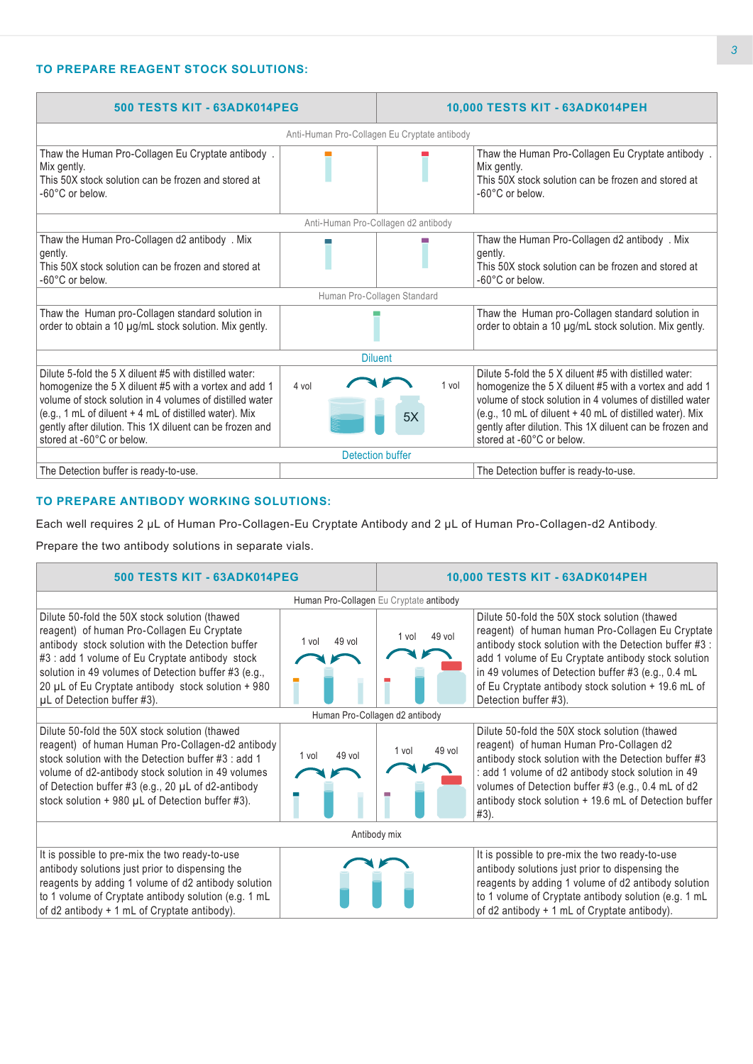## **TO PREPARE REAGENT STOCK SOLUTIONS:**

| 500 TESTS KIT - 63ADK014PEG                                                                                                                                                                                                                                                                                                    |                                              | 10,000 TESTS KIT - 63ADK014PEH      |                                                                                                                                                                                                                                                                                                                                  |  |
|--------------------------------------------------------------------------------------------------------------------------------------------------------------------------------------------------------------------------------------------------------------------------------------------------------------------------------|----------------------------------------------|-------------------------------------|----------------------------------------------------------------------------------------------------------------------------------------------------------------------------------------------------------------------------------------------------------------------------------------------------------------------------------|--|
|                                                                                                                                                                                                                                                                                                                                | Anti-Human Pro-Collagen Eu Cryptate antibody |                                     |                                                                                                                                                                                                                                                                                                                                  |  |
| Thaw the Human Pro-Collagen Eu Cryptate antibody.<br>Mix gently.<br>This 50X stock solution can be frozen and stored at<br>-60°C or below.                                                                                                                                                                                     |                                              |                                     | Thaw the Human Pro-Collagen Eu Cryptate antibody.<br>Mix gently.<br>This 50X stock solution can be frozen and stored at<br>-60°C or below.                                                                                                                                                                                       |  |
|                                                                                                                                                                                                                                                                                                                                |                                              | Anti-Human Pro-Collagen d2 antibody |                                                                                                                                                                                                                                                                                                                                  |  |
| Thaw the Human Pro-Collagen d2 antibody . Mix<br>gently.<br>This 50X stock solution can be frozen and stored at<br>-60°C or below.                                                                                                                                                                                             |                                              |                                     | Thaw the Human Pro-Collagen d2 antibody . Mix<br>gently.<br>This 50X stock solution can be frozen and stored at<br>-60°C or below.                                                                                                                                                                                               |  |
|                                                                                                                                                                                                                                                                                                                                |                                              | Human Pro-Collagen Standard         |                                                                                                                                                                                                                                                                                                                                  |  |
| Thaw the Human pro-Collagen standard solution in<br>order to obtain a 10 µg/mL stock solution. Mix gently.                                                                                                                                                                                                                     |                                              |                                     | Thaw the Human pro-Collagen standard solution in<br>order to obtain a 10 µg/mL stock solution. Mix gently.                                                                                                                                                                                                                       |  |
|                                                                                                                                                                                                                                                                                                                                | <b>Diluent</b>                               |                                     |                                                                                                                                                                                                                                                                                                                                  |  |
| Dilute 5-fold the 5 X diluent #5 with distilled water:<br>homogenize the 5 X diluent #5 with a vortex and add 1<br>volume of stock solution in 4 volumes of distilled water<br>(e.g., 1 mL of diluent + 4 mL of distilled water). Mix<br>gently after dilution. This 1X diluent can be frozen and<br>stored at -60°C or below. | 4 vol                                        | 1 vol<br>5X                         | Dilute 5-fold the 5 X diluent #5 with distilled water:<br>homogenize the 5 X diluent #5 with a vortex and add 1<br>volume of stock solution in 4 volumes of distilled water<br>(e.g., 10 mL of diluent + 40 mL of distilled water). Mix<br>gently after dilution. This 1X diluent can be frozen and<br>stored at -60°C or below. |  |
|                                                                                                                                                                                                                                                                                                                                | Detection buffer                             |                                     |                                                                                                                                                                                                                                                                                                                                  |  |
| The Detection buffer is ready-to-use.                                                                                                                                                                                                                                                                                          |                                              |                                     | The Detection buffer is ready-to-use.                                                                                                                                                                                                                                                                                            |  |

## **TO PREPARE ANTIBODY WORKING SOLUTIONS:**

Each well requires 2 µL of Human Pro-Collagen-Eu Cryptate Antibody and 2 µL of Human Pro-Collagen-d2 Antibody.

Prepare the two antibody solutions in separate vials.

| 500 TESTS KIT - 63ADK014PEG                                                                                                                                                                                                                                                                                                                      |                   | 10,000 TESTS KIT - 63ADK014PEH |                                                                                                                                                                                                                                                                                                                                                          |  |  |  |
|--------------------------------------------------------------------------------------------------------------------------------------------------------------------------------------------------------------------------------------------------------------------------------------------------------------------------------------------------|-------------------|--------------------------------|----------------------------------------------------------------------------------------------------------------------------------------------------------------------------------------------------------------------------------------------------------------------------------------------------------------------------------------------------------|--|--|--|
| Human Pro-Collagen Eu Cryptate antibody                                                                                                                                                                                                                                                                                                          |                   |                                |                                                                                                                                                                                                                                                                                                                                                          |  |  |  |
| Dilute 50-fold the 50X stock solution (thawed<br>reagent) of human Pro-Collagen Eu Cryptate<br>antibody stock solution with the Detection buffer<br>#3 : add 1 volume of Eu Cryptate antibody stock<br>solution in 49 volumes of Detection buffer #3 (e.g.,<br>20 µL of Eu Cryptate antibody stock solution + 980<br>µL of Detection buffer #3). | $49$ vol<br>1 vol | 49 vol<br>1 vol                | Dilute 50-fold the 50X stock solution (thawed<br>reagent) of human human Pro-Collagen Eu Cryptate<br>antibody stock solution with the Detection buffer #3 :<br>add 1 volume of Eu Cryptate antibody stock solution<br>in 49 volumes of Detection buffer #3 (e.g., 0.4 mL<br>of Eu Cryptate antibody stock solution + 19.6 mL of<br>Detection buffer #3). |  |  |  |
|                                                                                                                                                                                                                                                                                                                                                  |                   | Human Pro-Collagen d2 antibody |                                                                                                                                                                                                                                                                                                                                                          |  |  |  |
| Dilute 50-fold the 50X stock solution (thawed<br>reagent) of human Human Pro-Collagen-d2 antibody<br>stock solution with the Detection buffer #3 : add 1<br>volume of d2-antibody stock solution in 49 volumes<br>of Detection buffer #3 (e.g., 20 $\mu$ L of d2-antibody<br>stock solution $+$ 980 $\mu$ L of Detection buffer #3).             | 49 vol<br>1 vol   | 49 vol<br>1 vol                | Dilute 50-fold the 50X stock solution (thawed<br>reagent) of human Human Pro-Collagen d2<br>antibody stock solution with the Detection buffer #3<br>: add 1 volume of d2 antibody stock solution in 49<br>volumes of Detection buffer #3 (e.g., 0.4 mL of d2<br>antibody stock solution + 19.6 mL of Detection buffer<br>$#3$ ).                         |  |  |  |
| Antibody mix                                                                                                                                                                                                                                                                                                                                     |                   |                                |                                                                                                                                                                                                                                                                                                                                                          |  |  |  |
| It is possible to pre-mix the two ready-to-use<br>antibody solutions just prior to dispensing the<br>reagents by adding 1 volume of d2 antibody solution<br>to 1 volume of Cryptate antibody solution (e.g. 1 mL<br>of d2 antibody + 1 mL of Cryptate antibody).                                                                                 |                   |                                | It is possible to pre-mix the two ready-to-use<br>antibody solutions just prior to dispensing the<br>reagents by adding 1 volume of d2 antibody solution<br>to 1 volume of Cryptate antibody solution (e.g. 1 mL<br>of d2 antibody + 1 mL of Cryptate antibody).                                                                                         |  |  |  |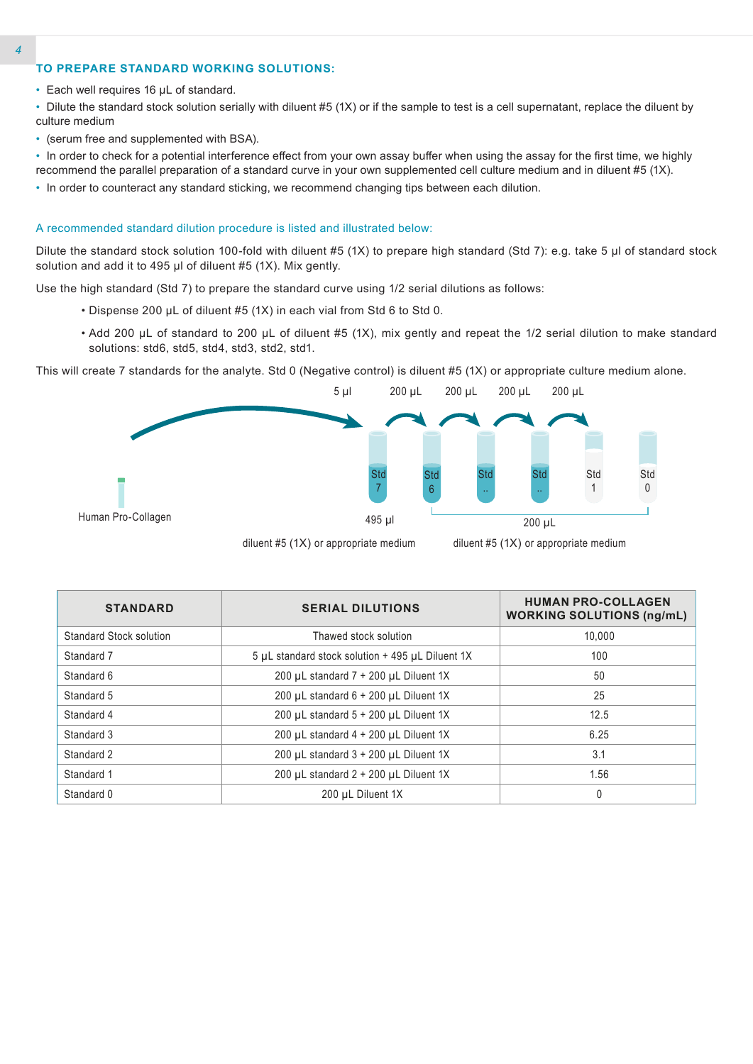### **TO PREPARE STANDARD WORKING SOLUTIONS:**

• Each well requires 16 µL of standard.

• Dilute the standard stock solution serially with diluent #5 (1X) or if the sample to test is a cell supernatant, replace the diluent by culture medium

- (serum free and supplemented with BSA).
- In order to check for a potential interference effect from your own assay buffer when using the assay for the first time, we highly recommend the parallel preparation of a standard curve in your own supplemented cell culture medium and in diluent #5 (1X).
- In order to counteract any standard sticking, we recommend changing tips between each dilution.

#### A recommended standard dilution procedure is listed and illustrated below:

Dilute the standard stock solution 100-fold with diluent #5 (1X) to prepare high standard (Std 7): e.g. take 5 µl of standard stock solution and add it to 495  $\mu$ l of diluent #5 (1X). Mix gently.

Use the high standard (Std 7) to prepare the standard curve using 1/2 serial dilutions as follows:

- Dispense 200 µL of diluent #5 (1X) in each vial from Std 6 to Std 0.
- Add 200 µL of standard to 200 µL of diluent #5 (1X), mix gently and repeat the 1/2 serial dilution to make standard solutions: std6, std5, std4, std3, std2, std1.

This will create 7 standards for the analyte. Std 0 (Negative control) is diluent #5 (1X) or appropriate culture medium alone.



diluent #5 (1X) or appropriate medium

diluent #5 (1X) or appropriate medium

| <b>STANDARD</b>         | <b>SERIAL DILUTIONS</b>                          | <b>HUMAN PRO-COLLAGEN</b><br><b>WORKING SOLUTIONS (ng/mL)</b> |  |
|-------------------------|--------------------------------------------------|---------------------------------------------------------------|--|
| Standard Stock solution | Thawed stock solution                            | 10.000                                                        |  |
| Standard 7              | 5 µL standard stock solution + 495 µL Diluent 1X | 100                                                           |  |
| Standard 6              | 200 µL standard $7 + 200$ µL Diluent 1X          | 50                                                            |  |
| Standard 5              | 200 µL standard $6 + 200$ µL Diluent 1X          | 25                                                            |  |
| Standard 4              | 200 µL standard 5 + 200 µL Diluent 1X            | 12.5                                                          |  |
| Standard 3              | 200 µL standard 4 + 200 µL Diluent 1X            | 6.25                                                          |  |
| Standard 2              | 200 µL standard 3 + 200 µL Diluent 1X            | 3.1                                                           |  |
| Standard 1              | 200 µL standard 2 + 200 µL Diluent 1X            | 1.56                                                          |  |
| Standard 0              | 200 µL Diluent 1X                                | 0                                                             |  |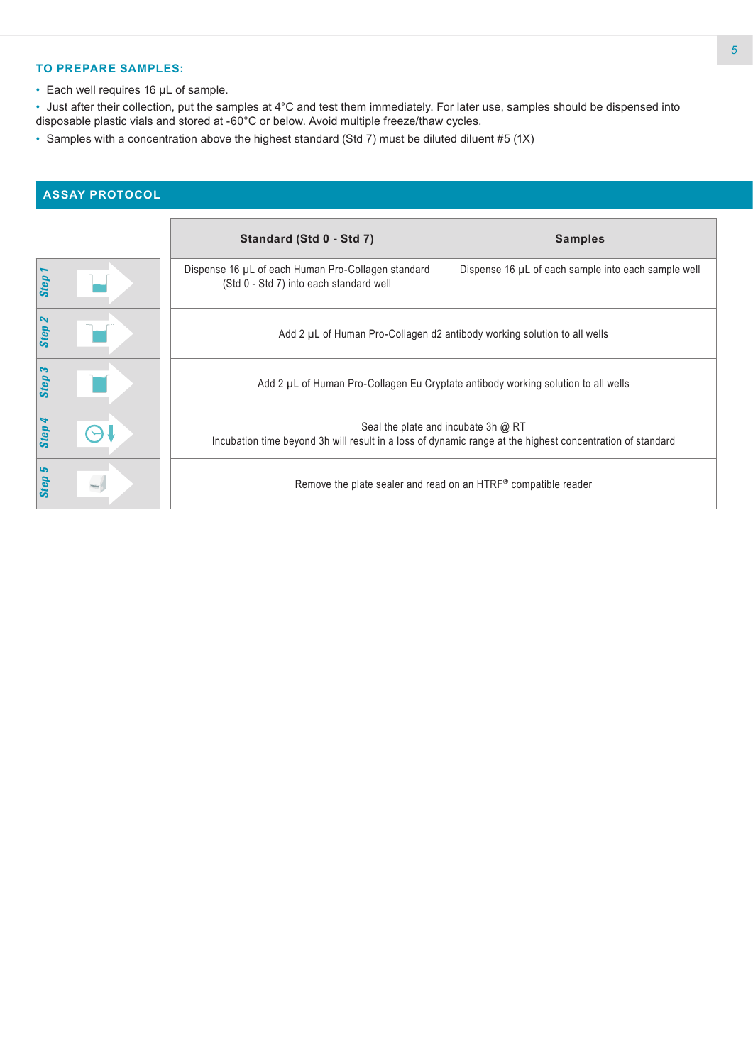### **TO PREPARE SAMPLES:**

• Each well requires 16 µL of sample.

• Just after their collection, put the samples at 4°C and test them immediately. For later use, samples should be dispensed into disposable plastic vials and stored at -60°C or below. Avoid multiple freeze/thaw cycles.

• Samples with a concentration above the highest standard (Std 7) must be diluted diluent #5 (1X)

# **ASSAY PROTOCOL**

|                                    | Standard (Std 0 - Std 7)                                                                                                                           | <b>Samples</b>                                      |  |  |
|------------------------------------|----------------------------------------------------------------------------------------------------------------------------------------------------|-----------------------------------------------------|--|--|
| <b>Step</b>                        | Dispense 16 µL of each Human Pro-Collagen standard<br>(Std 0 - Std 7) into each standard well                                                      | Dispense 16 µL of each sample into each sample well |  |  |
| $\boldsymbol{\mathsf{N}}$<br>Step. | Add 2 µL of Human Pro-Collagen d2 antibody working solution to all wells                                                                           |                                                     |  |  |
| S<br>Step                          | Add 2 µL of Human Pro-Collagen Eu Cryptate antibody working solution to all wells                                                                  |                                                     |  |  |
| Step                               | Seal the plate and incubate 3h $@$ RT<br>Incubation time beyond 3h will result in a loss of dynamic range at the highest concentration of standard |                                                     |  |  |
| 5<br><b>Step</b>                   | Remove the plate sealer and read on an HTRF® compatible reader                                                                                     |                                                     |  |  |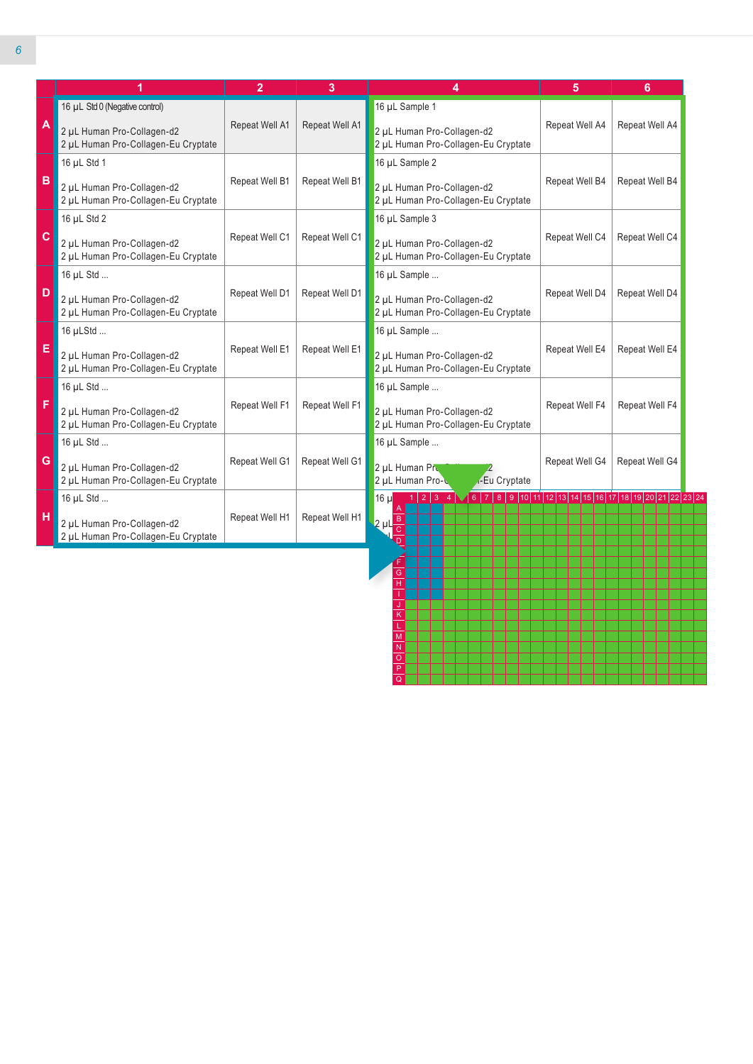|              |                                                                   | $\overline{2}$                                                 | 3                                                                                   | 4                                                                                                                        | 5              | 6              |  |
|--------------|-------------------------------------------------------------------|----------------------------------------------------------------|-------------------------------------------------------------------------------------|--------------------------------------------------------------------------------------------------------------------------|----------------|----------------|--|
|              | 16 µL Std 0 (Negative control)                                    |                                                                |                                                                                     | 16 µL Sample 1                                                                                                           |                |                |  |
| A            | 2 µL Human Pro-Collagen-d2<br>2 µL Human Pro-Collagen-Eu Cryptate | Repeat Well A1                                                 | Repeat Well A1<br>2 µL Human Pro-Collagen-d2<br>2 µL Human Pro-Collagen-Eu Cryptate |                                                                                                                          | Repeat Well A4 | Repeat Well A4 |  |
|              | 16 µL Std 1                                                       |                                                                |                                                                                     | 16 µL Sample 2                                                                                                           |                |                |  |
| B            | 2 µL Human Pro-Collagen-d2<br>2 µL Human Pro-Collagen-Eu Cryptate | Repeat Well B1                                                 | Repeat Well B1                                                                      | 2 µL Human Pro-Collagen-d2<br>2 µL Human Pro-Collagen-Eu Cryptate                                                        | Repeat Well B4 | Repeat Well B4 |  |
|              | 16 µL Std 2                                                       |                                                                |                                                                                     | 16 µL Sample 3                                                                                                           |                |                |  |
| $\mathbf{C}$ | 2 µL Human Pro-Collagen-d2<br>2 µL Human Pro-Collagen-Eu Cryptate | Repeat Well C1                                                 | Repeat Well C1                                                                      | 2 µL Human Pro-Collagen-d2<br>2 µL Human Pro-Collagen-Eu Cryptate                                                        | Repeat Well C4 | Repeat Well C4 |  |
|              | 16 µL Std                                                         |                                                                |                                                                                     | 16 µL Sample                                                                                                             |                |                |  |
| D            | 2 µL Human Pro-Collagen-d2<br>2 µL Human Pro-Collagen-Eu Cryptate | Repeat Well D1                                                 | Repeat Well D1                                                                      | Repeat Well D4<br>2 µL Human Pro-Collagen-d2<br>2 µL Human Pro-Collagen-Eu Cryptate                                      |                | Repeat Well D4 |  |
|              | 16 µLStd                                                          |                                                                |                                                                                     | 16 µL Sample                                                                                                             |                |                |  |
| E            | 2 µL Human Pro-Collagen-d2<br>2 µL Human Pro-Collagen-Eu Cryptate | Repeat Well E1                                                 | Repeat Well E1                                                                      | 2 µL Human Pro-Collagen-d2<br>2 µL Human Pro-Collagen-Eu Cryptate                                                        | Repeat Well E4 | Repeat Well E4 |  |
|              | 16 µL Std                                                         |                                                                |                                                                                     | 16 µL Sample                                                                                                             |                |                |  |
| F            | 2 µL Human Pro-Collagen-d2<br>2 µL Human Pro-Collagen-Eu Cryptate | Repeat Well F1<br>Repeat Well F1<br>2 µL Human Pro-Collagen-d2 |                                                                                     | 2 µL Human Pro-Collagen-Eu Cryptate                                                                                      | Repeat Well F4 | Repeat Well F4 |  |
|              | 16 µL Std                                                         |                                                                |                                                                                     | 16 µL Sample                                                                                                             |                |                |  |
| G            | 2 µL Human Pro-Collagen-d2<br>2 µL Human Pro-Collagen-Eu Cryptate | Repeat Well G1                                                 | Repeat Well G1                                                                      | 2 µL Human Pre<br>2 µL Human Pro-<br><b>-Eu Cryptate</b>                                                                 | Repeat Well G4 | Repeat Well G4 |  |
|              | 16 µL Std                                                         |                                                                |                                                                                     | $1   2   3   4 \sqrt{6   7   8   9   10   11   12   13   14   15   16   17   18   19   20   21   22   23   24}$<br>16 ul |                |                |  |
| H            | 2 µL Human Pro-Collagen-d2<br>2 µL Human Pro-Collagen-Eu Cryptate | Repeat Well H1                                                 | Repeat Well H1                                                                      | $2 \mu L \frac{B}{C}$                                                                                                    |                |                |  |

H I J K L M N O P Q